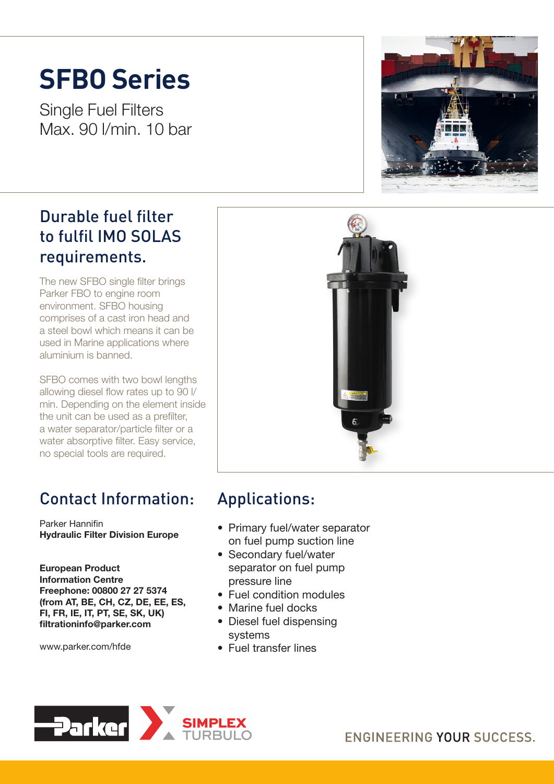# **SFBO Series**

Single Fuel Filters Max. 90 l/min. 10 bar

### Durable fuel filter to fulfil IMO SOLAS requirements.

The new SFBO single filter brings Parker FBO to engine room environment. SFBO housing comprises of a cast iron head and a steel bowl which means it can be used in Marine applications where aluminium is banned.

SFBO comes with two bowl lengths allowing diesel flow rates up to 90 l/ min. Depending on the element inside the unit can be used as a prefilter, a water separator/particle filter or a water absorptive filter. Easy service, no special tools are required.

## Contact Information:

Parker Hannifin Hydraulic Filter Division Europe

European Product Information Centre Freephone: 00800 27 27 5374 (from AT, BE, CH, CZ, DE, EE, ES, FI, FR, IE, IT, PT, SE, SK, UK) filtrationinfo@parker.com

www.parker.com/hfde





## Applications:

- Primary fuel/water separator on fuel pump suction line
- Secondary fuel/water separator on fuel pump pressure line
- Fuel condition modules
- Marine fuel docks
- Diesel fuel dispensing systems
- Fuel transfer lines



ENGINEERING YOUR SUCCESS.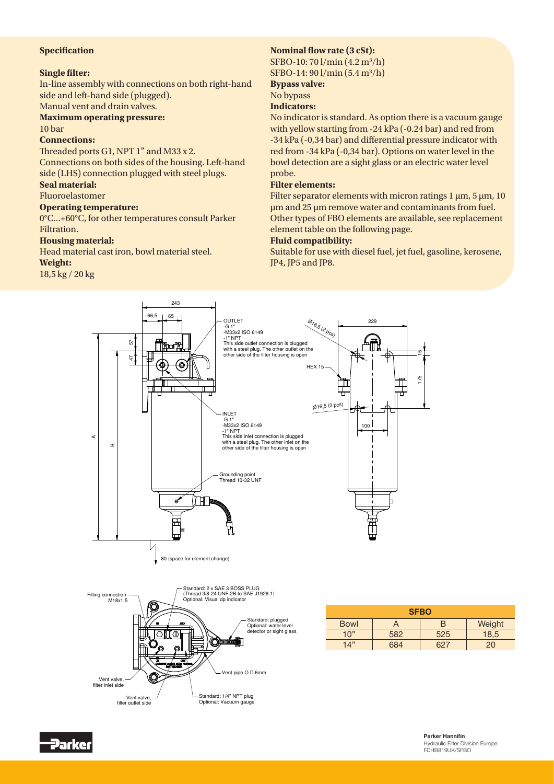#### **Specification**

#### **Single filter:**

In-line assembly with connections on both right-hand side and left-hand side (plugged). Manual vent and drain valves.

#### **Maximum operating pressure:** 10 bar

#### **Connections:**

Threaded ports G1, NPT 1" and M33 x 2.

Connections on both sides of the housing. Left-hand side (LHS) connection plugged with steel plugs.

#### **Seal material:**

Fluoroelastomer

#### **Operating temperature:**

0°C...+60°C, for other temperatures consult Parker Filtration.

#### **Housing material:**

Head material cast iron, bowl material steel.

#### **Weight:**

18,5 kg / 20 kg

#### **Nominal flow rate (3 cSt):**

SFBO-10: 70 l/min (4.2 m3/h) SFBO-14: 90 l/min (5.4 m3/h)

#### **Bypass valve:**

### No bypass

**Indicators:**

No indicator is standard. As option there is a vacuum gauge with yellow starting from -24 kPa (-0.24 bar) and red from -34 kPa (-0,34 bar) and differential pressure indicator with red from -34 kPa (-0,34 bar). Options on water level in the bowl detection are a sight glass or an electric water level probe.

#### **Filter elements:**

Filter separator elements with micron ratings 1 μm, 5 μm, 10 μm and 25 μm remove water and contaminants from fuel. Other types of FBO elements are available, see replacement element table on the following page.

#### **Fluid compatibility:**

Suitable for use with diesel fuel, jet fuel, gasoline, kerosene, JP4, JP5 and JP8.





| <b>SFBO</b> |     |     |        |
|-------------|-----|-----|--------|
| <b>Bowl</b> | A   | R   | Weight |
| 10"         | 582 | 525 | 18,5   |
| 14"         | 684 | 62. | 20     |

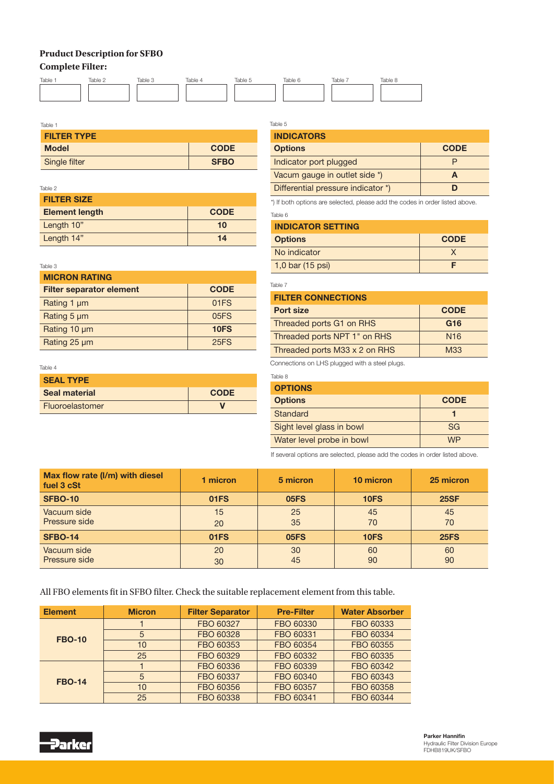### **Pruduct Description for SFBO**

#### **Complete Filter:**



| Table 1            |             |  |  |  |
|--------------------|-------------|--|--|--|
| <b>FILTER TYPE</b> |             |  |  |  |
| <b>Model</b>       | <b>CODE</b> |  |  |  |
| Single filter      | <b>SFBO</b> |  |  |  |

#### Table 2

| <b>FILTER SIZE</b>    |             |  |  |  |
|-----------------------|-------------|--|--|--|
| <b>Element length</b> | <b>CODE</b> |  |  |  |
| Length 10"            | 10          |  |  |  |
| Length 14"            | 14          |  |  |  |

#### Table 3

| <b>MICRON RATING</b>            |             |  |  |  |
|---------------------------------|-------------|--|--|--|
| <b>Filter separator element</b> | <b>CODE</b> |  |  |  |
| Rating 1 µm                     | 01FS        |  |  |  |
| Rating 5 µm                     | 05FS        |  |  |  |
| Rating 10 µm                    | 10FS        |  |  |  |
| Rating 25 µm                    | <b>25FS</b> |  |  |  |

#### Table 4

| <b>SEAL TYPE</b> |             |
|------------------|-------------|
| Seal material    | <b>CODE</b> |
| Fluoroelastomer  |             |

#### Table 5 **INDICATORS** Options CODE Indicator port plugged P Vacum gauge in outlet side  $\uparrow$   $\qquad \qquad$   $\qquad \qquad$   $\qquad \qquad$   $\qquad \qquad$   $\qquad \qquad$   $\qquad \qquad$ Differential pressure indicator \*) **D**

Table 6 \*) If both options are selected, please add the codes in order listed above.

| <b>INDICATOR SETTING</b> |             |  |  |
|--------------------------|-------------|--|--|
| <b>Options</b>           | <b>CODE</b> |  |  |
| No indicator             |             |  |  |
| $1,0$ bar (15 psi)       |             |  |  |

Table 7

| <b>FILTER CONNECTIONS</b>     |                 |  |  |  |
|-------------------------------|-----------------|--|--|--|
| Port size                     | <b>CODE</b>     |  |  |  |
| Threaded ports G1 on RHS      | G <sub>16</sub> |  |  |  |
| Threaded ports NPT 1" on RHS  | N <sub>16</sub> |  |  |  |
| Threaded ports M33 x 2 on RHS | M33             |  |  |  |

Connections on LHS plugged with a steel plugs.

| Table 8                   |             |
|---------------------------|-------------|
| <b>OPTIONS</b>            |             |
| <b>Options</b>            | <b>CODE</b> |
| Standard                  |             |
| Sight level glass in bowl | <b>SG</b>   |
| Water level probe in bowl | <b>WP</b>   |

If several options are selected, please add the codes in order listed above.

| Max flow rate (I/m) with diesel<br>fuel 3 cSt | 1 micron | 5 micron | 10 micron   | 25 micron   |
|-----------------------------------------------|----------|----------|-------------|-------------|
| <b>SFBO-10</b>                                | 01FS     | 05FS     | <b>10FS</b> | <b>25SF</b> |
| Vacuum side<br>Pressure side                  | 15<br>20 | 25<br>35 | 45<br>70    | 45<br>70    |
| <b>SFBO-14</b>                                | 01FS     | 05FS     | 10FS        | <b>25FS</b> |
| Vacuum side<br>Pressure side                  | 20<br>30 | 30<br>45 | 60<br>90    | 60<br>90    |

All FBO elements fit in SFBO filter. Check the suitable replacement element from this table.

| <b>Element</b> | <b>Micron</b> | <b>Filter Separator</b> | <b>Pre-Filter</b> | <b>Water Absorber</b> |
|----------------|---------------|-------------------------|-------------------|-----------------------|
| <b>FBO-10</b>  |               | FBO 60327               | FBO 60330         | FBO 60333             |
|                | 5             | FBO 60328               | FBO 60331         | FBO 60334             |
|                | 10            | FBO 60353               | FBO 60354         | FBO 60355             |
|                | 25            | FBO 60329               | FBO 60332         | FBO 60335             |
| <b>FBO-14</b>  |               | FBO 60336               | FBO 60339         | FBO 60342             |
|                | 5             | FBO 60337               | FBO 60340         | FBO 60343             |
|                | 10            | FBO 60356               | FBO 60357         | FBO 60358             |
|                | 25            | FBO 60338               | FBO 60341         | FBO 60344             |